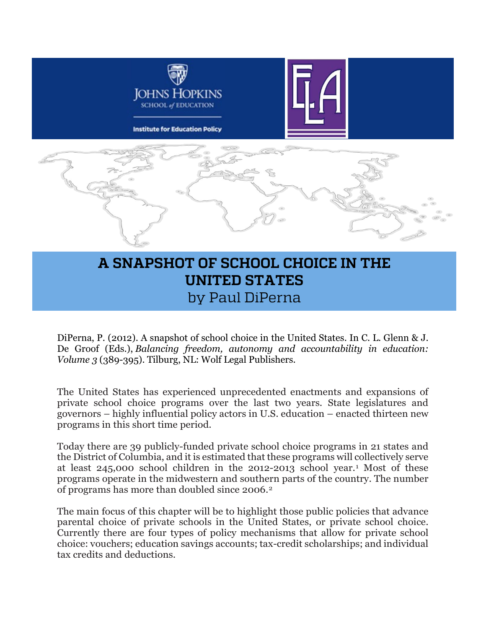

# **A SNAPSHOT OF SCHOOL CHOICE IN THE UNITED STATES** by Paul DiPerna

DiPerna, P. (2012). A snapshot of school choice in the United States. In C. L. Glenn & J. De Groof (Eds.), *Balancing freedom, autonomy and accountability in education: Volume 3* (389-395). Tilburg, NL: Wolf Legal Publishers.

The United States has experienced unprecedented enactments and expansions of private school choice programs over the last two years. State legislatures and governors – highly influential policy actors in U.S. education – enacted thirteen new programs in this short time period.

Today there are 39 publicly-funded private school choice programs in 21 states and the District of Columbia, and it is estimated that these programs will collectively serve at least 245,000 school children in the 2012-2013 school year.[1](#page-7-0) Most of these programs operate in the midwestern and southern parts of the country. The number of programs has more than doubled since 2006.[2](#page-7-1)

The main focus of this chapter will be to highlight those public policies that advance parental choice of private schools in the United States, or private school choice. Currently there are four types of policy mechanisms that allow for private school choice: vouchers; education savings accounts; tax-credit scholarships; and individual tax credits and deductions.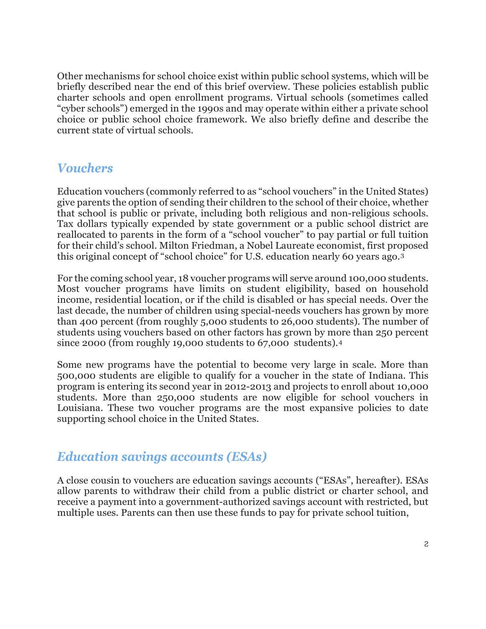Other mechanisms for school choice exist within public school systems, which will be briefly described near the end of this brief overview. These policies establish public charter schools and open enrollment programs. Virtual schools (sometimes called "cyber schools") emerged in the 1990s and may operate within either a private school choice or public school choice framework. We also briefly define and describe the current state of virtual schools.

#### *Vouchers*

Education vouchers (commonly referred to as "school vouchers" in the United States) give parents the option of sending their children to the school of their choice, whether that school is public or private, including both religious and non-religious schools. Tax dollars typically expended by state government or a public school district are reallocated to parents in the form of a "school voucher" to pay partial or full tuition for their child's school. Milton Friedman, a Nobel Laureate economist, first proposed this original concept of "school choice" for U.S. education nearly 60 years ago.[3](#page-7-2)

For the coming school year, 18 voucher programs will serve around 100,000 students. Most voucher programs have limits on student eligibility, based on household income, residential location, or if the child is disabled or has special needs. Over the last decade, the number of children using special-needs vouchers has grown by more than 400 percent (from roughly 5,000 students to 26,000 students). The number of students using vouchers based on other factors has grown by more than 250 percent since 2000 (from roughly 19,000 students to 67,000 students).<sup>[4](#page-7-3)</sup>

Some new programs have the potential to become very large in scale. More than 500,000 students are eligible to qualify for a voucher in the state of Indiana. This program is entering its second year in 2012-2013 and projects to enroll about 10,000 students. More than 250,000 students are now eligible for school vouchers in Louisiana. These two voucher programs are the most expansive policies to date supporting school choice in the United States.

#### *Education savings accounts (ESAs)*

A close cousin to vouchers are education savings accounts ("ESAs", hereafter). ESAs allow parents to withdraw their child from a public district or charter school, and receive a payment into a government-authorized savings account with restricted, but multiple uses. Parents can then use these funds to pay for private school tuition,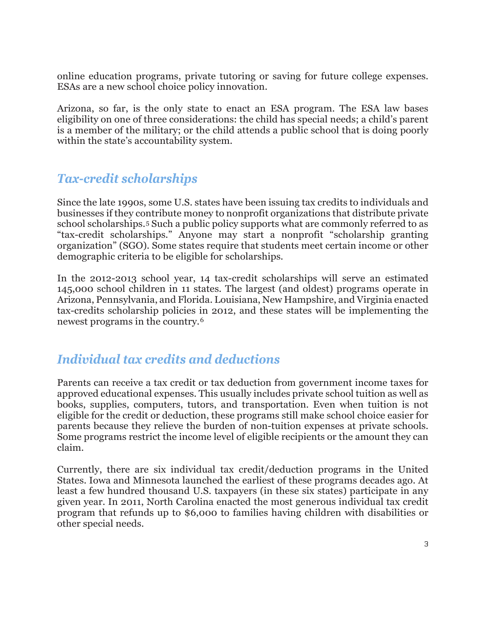online education programs, private tutoring or saving for future college expenses. ESAs are a new school choice policy innovation.

Arizona, so far, is the only state to enact an ESA program. The ESA law bases eligibility on one of three considerations: the child has special needs; a child's parent is a member of the military; or the child attends a public school that is doing poorly within the state's accountability system.

#### *Tax-credit scholarships*

Since the late 1990s, some U.S. states have been issuing tax credits to individuals and businesses if they contribute money to nonprofit organizations that distribute private school scholarships.[5](#page-7-4) Such a public policy supports what are commonly referred to as "tax-credit scholarships." Anyone may start a nonprofit "scholarship granting organization" (SGO). Some states require that students meet certain income or other demographic criteria to be eligible for scholarships.

In the 2012-2013 school year, 14 tax-credit scholarships will serve an estimated 145,000 school children in 11 states. The largest (and oldest) programs operate in Arizona, Pennsylvania, and Florida. Louisiana, New Hampshire, and Virginia enacted tax-credits scholarship policies in 2012, and these states will be implementing the newest programs in the country.[6](#page-7-5)

#### *Individual tax credits and deductions*

Parents can receive a tax credit or tax deduction from government income taxes for approved educational expenses. This usually includes private school tuition as well as books, supplies, computers, tutors, and transportation. Even when tuition is not eligible for the credit or deduction, these programs still make school choice easier for parents because they relieve the burden of non-tuition expenses at private schools. Some programs restrict the income level of eligible recipients or the amount they can claim.

Currently, there are six individual tax credit/deduction programs in the United States. Iowa and Minnesota launched the earliest of these programs decades ago. At least a few hundred thousand U.S. taxpayers (in these six states) participate in any given year. In 2011, North Carolina enacted the most generous individual tax credit program that refunds up to \$6,000 to families having children with disabilities or other special needs.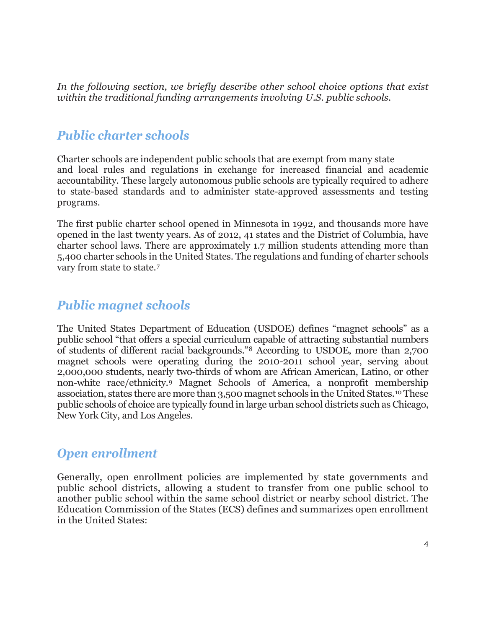In the following section, we briefly describe other school choice options that exist *within the traditional funding arrangements involving U.S. public schools.*

### *Public charter schools*

Charter schools are independent public schools that are exempt from many state and local rules and regulations in exchange for increased financial and academic accountability. These largely autonomous public schools are typically required to adhere to state-based standards and to administer state-approved assessments and testing programs.

The first public charter school opened in Minnesota in 1992, and thousands more have opened in the last twenty years. As of 2012, 41 states and the District of Columbia, have charter school laws. There are approximately 1.7 million students attending more than 5,400 charter schools in the United States. The regulations and funding of charter schools vary from state to state.[7](#page-7-6)

#### *Public magnet schools*

The United States Department of Education (USDOE) defines "magnet schools" as a public school "that offers a special curriculum capable of attracting substantial numbers of students of different racial backgrounds.["8](#page-7-7) According to USDOE, more than 2,700 magnet schools were operating during the 2010-2011 school year, serving about 2,000,000 students, nearly two-thirds of whom are African American, Latino, or other non-white race/ethnicity.[9](#page-7-8) Magnet Schools of America, a nonprofit membership association, states there are more than 3,500 magnet schools in the United States.[10](#page-7-9) These public schools of choice are typically found in large urban school districts such as Chicago, New York City, and Los Angeles.

#### *Open enrollment*

Generally, open enrollment policies are implemented by state governments and public school districts, allowing a student to transfer from one public school to another public school within the same school district or nearby school district. The Education Commission of the States (ECS) defines and summarizes open enrollment in the United States: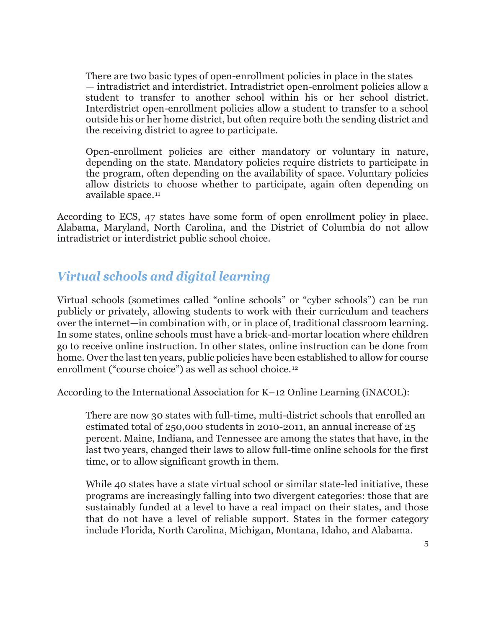There are two basic types of open-enrollment policies in place in the states — intradistrict and interdistrict. Intradistrict open-enrolment policies allow a student to transfer to another school within his or her school district. Interdistrict open-enrollment policies allow a student to transfer to a school outside his or her home district, but often require both the sending district and the receiving district to agree to participate.

Open-enrollment policies are either mandatory or voluntary in nature, depending on the state. Mandatory policies require districts to participate in the program, often depending on the availability of space. Voluntary policies allow districts to choose whether to participate, again often depending on available space.[11](#page-7-10)

According to ECS, 47 states have some form of open enrollment policy in place. Alabama, Maryland, North Carolina, and the District of Columbia do not allow intradistrict or interdistrict public school choice.

## *Virtual schools and digital learning*

Virtual schools (sometimes called "online schools" or "cyber schools") can be run publicly or privately, allowing students to work with their curriculum and teachers over the internet—in combination with, or in place of, traditional classroom learning. In some states, online schools must have a brick-and-mortar location where children go to receive online instruction. In other states, online instruction can be done from home. Over the last ten years, public policies have been established to allow for course enrollment ("course choice") as well as school choice.<sup>[12](#page-7-11)</sup>

According to the International Association for K–12 Online Learning (iNACOL):

There are now 30 states with full-time, multi-district schools that enrolled an estimated total of 250,000 students in 2010-2011, an annual increase of 25 percent. Maine, Indiana, and Tennessee are among the states that have, in the last two years, changed their laws to allow full-time online schools for the first time, or to allow significant growth in them.

While 40 states have a state virtual school or similar state-led initiative, these programs are increasingly falling into two divergent categories: those that are sustainably funded at a level to have a real impact on their states, and those that do not have a level of reliable support. States in the former category include Florida, North Carolina, Michigan, Montana, Idaho, and Alabama.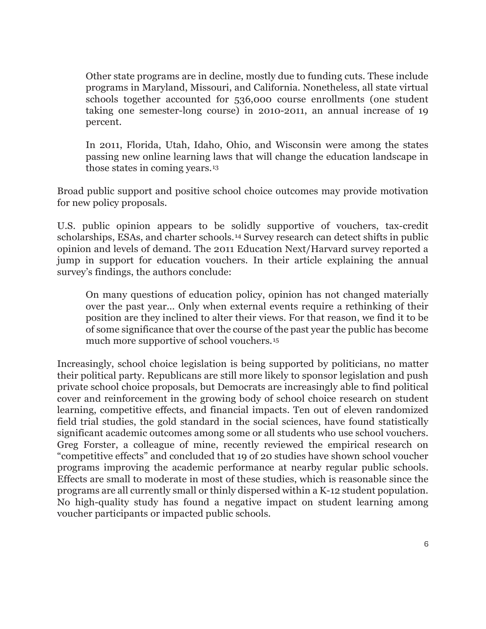Other state programs are in decline, mostly due to funding cuts. These include programs in Maryland, Missouri, and California. Nonetheless, all state virtual schools together accounted for 536,000 course enrollments (one student taking one semester-long course) in 2010-2011, an annual increase of 19 percent.

In 2011, Florida, Utah, Idaho, Ohio, and Wisconsin were among the states passing new online learning laws that will change the education landscape in those states in coming years.[13](#page-8-0)

Broad public support and positive school choice outcomes may provide motivation for new policy proposals.

U.S. public opinion appears to be solidly supportive of vouchers, tax-credit scholarships, ESAs, and charter schools.[14](#page-8-1) Survey research can detect shifts in public opinion and levels of demand. The 2011 Education Next/Harvard survey reported a jump in support for education vouchers. In their article explaining the annual survey's findings, the authors conclude:

On many questions of education policy, opinion has not changed materially over the past year... Only when external events require a rethinking of their position are they inclined to alter their views. For that reason, we find it to be of some significance that over the course of the past year the public has become much more supportive of school vouchers.[15](#page-8-2)

Increasingly, school choice legislation is being supported by politicians, no matter their political party. Republicans are still more likely to sponsor legislation and push private school choice proposals, but Democrats are increasingly able to find political cover and reinforcement in the growing body of school choice research on student learning, competitive effects, and financial impacts. Ten out of eleven randomized field trial studies, the gold standard in the social sciences, have found statistically significant academic outcomes among some or all students who use school vouchers. Greg Forster, a colleague of mine, recently reviewed the empirical research on "competitive effects" and concluded that 19 of 20 studies have shown school voucher programs improving the academic performance at nearby regular public schools. Effects are small to moderate in most of these studies, which is reasonable since the programs are all currently small or thinly dispersed within a K-12 student population. No high-quality study has found a negative impact on student learning among voucher participants or impacted public schools.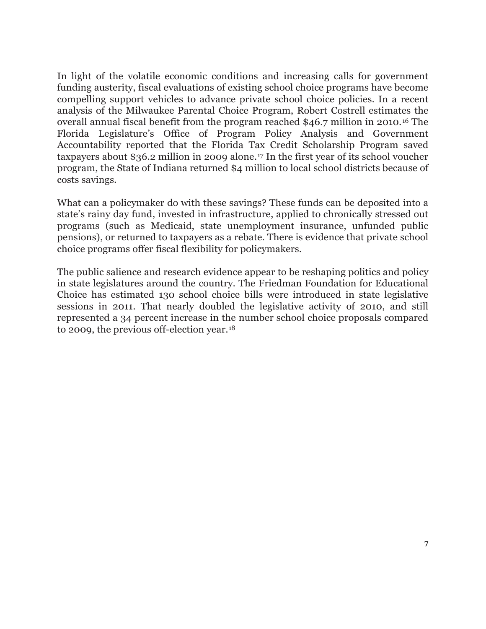In light of the volatile economic conditions and increasing calls for government funding austerity, fiscal evaluations of existing school choice programs have become compelling support vehicles to advance private school choice policies. In a recent analysis of the Milwaukee Parental Choice Program, Robert Costrell estimates the overall annual fiscal benefit from the program reached \$46.7 million in 2010.[16](#page-8-3) The Florida Legislature's Office of Program Policy Analysis and Government Accountability reported that the Florida Tax Credit Scholarship Program saved taxpayers about \$36.2 million in 2009 alone.[17](#page-8-4) In the first year of its school voucher program, the State of Indiana returned \$4 million to local school districts because of costs savings.

What can a policymaker do with these savings? These funds can be deposited into a state's rainy day fund, invested in infrastructure, applied to chronically stressed out programs (such as Medicaid, state unemployment insurance, unfunded public pensions), or returned to taxpayers as a rebate. There is evidence that private school choice programs offer fiscal flexibility for policymakers.

The public salience and research evidence appear to be reshaping politics and policy in state legislatures around the country. The Friedman Foundation for Educational Choice has estimated 130 school choice bills were introduced in state legislative sessions in 2011. That nearly doubled the legislative activity of 2010, and still represented a 34 percent increase in the number school choice proposals compared to 2009, the previous off-election year.[18](#page-8-5)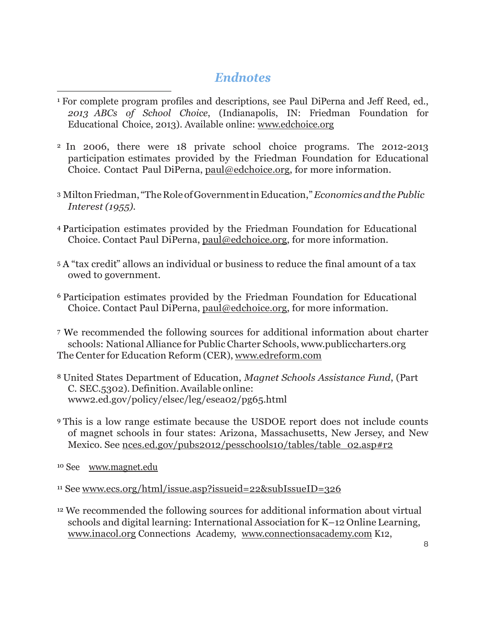#### *Endnotes*

- <span id="page-7-0"></span><sup>1</sup> For complete program profiles and descriptions, see Paul DiPerna and Jeff Reed, ed., *2013 ABCs of School Choice*, (Indianapolis, IN: Friedman Foundation for Educational Choice, 2013). Available online: [www.edchoice.org](http://www.edchoice.org/)
- <span id="page-7-1"></span><sup>2</sup> In 2006, there were 18 private school choice programs. The 2012-2013 participation estimates provided by the Friedman Foundation for Educational Choice. Contact Paul DiPerna, [paul@edchoice.org,](mailto:paul@edchoice.org) for more information.
- <span id="page-7-2"></span><sup>3</sup> MiltonFriedman, "TheRoleofGovernmentinEducation,"*EconomicsandthePublic Interest (1955).*
- <span id="page-7-3"></span><sup>4</sup> Participation estimates provided by the Friedman Foundation for Educational Choice. Contact Paul DiPerna, [paul@edchoice.org,](mailto:paul@edchoice.org) for more information.
- <span id="page-7-4"></span><sup>5</sup> A "tax credit" allows an individual or business to reduce the final amount of a tax owed to government.
- <span id="page-7-5"></span><sup>6</sup> Participation estimates provided by the Friedman Foundation for Educational Choice. Contact Paul DiPerna, [paul@edchoice.org,](mailto:paul@edchoice.org) for more information.
- <span id="page-7-6"></span><sup>7</sup> We recommended the following sources for additional information about charter schools: National Alliance for Public Charter Schools, [www.publiccharters.org](http://www.publiccharters.org/) The Center for Education Reform (CER), [www.edreform.com](http://www.edreform.com/)
- <span id="page-7-7"></span><sup>8</sup> United States Department of Education, *Magnet Schools Assistance Fund*, (Part C. SEC.5302). Definition.Available online: www2.ed.gov/policy/elsec/leg/esea02/pg65.html
- <span id="page-7-8"></span><sup>9</sup> This is a low range estimate because the USDOE report does not include counts of magnet schools in four states: Arizona, Massachusetts, New Jersey, and New Mexico. See nces.ed.gov/pubs2012/pesschools10/tables/table\_02.asp#r2

<span id="page-7-9"></span><sup>10</sup> See [www.magnet.edu](http://www.magnet.edu/)

 $\overline{a}$ 

<span id="page-7-10"></span><sup>11</sup> See [www.ecs.org/html/issue.asp?issueid=22&subIssueID=326](http://www.ecs.org/html/issue.asp?issueid=22&subIssueID=326)

<span id="page-7-11"></span><sup>12</sup> We recommended the following sources for additional information about virtual schools and digital learning: International Association for K–12 Online Learning, [www.inacol.org](http://www.inacol.org/) Connections Academy, [www.connectionsacademy.com](http://www.connectionsacademy.com/) K12,